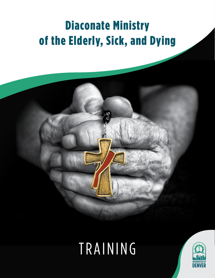# Diaconate Ministry of the Elderly, Sick, and Dying



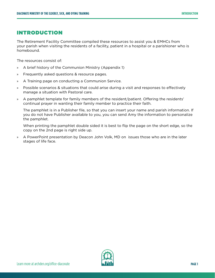## INTRODUCTION

The Retirement Facility Committee compiled these resources to assist you & EMHCs from your parish when visiting the residents of a facility, patient in a hospital or a parishioner who is homebound.

The resources consist of:

- » A brief history of the Communion Ministry (Appendix 1)
- » Frequently asked questions & resource pages.
- » A Training page on conducting a Communion Service.
- » Possible scenarios & situations that could arise during a visit and responses to effectively manage a situation with Pastoral care.
- » A pamphlet template for family members of the resident/patient. Offering the residents' continual prayer in wanting their family member to practice their faith.

The pamphlet is in a Publisher file, so that you can insert your name and parish information. If you do not have Publisher available to you, you can send Amy the information to personalize the pamphlet.

When printing the pamphlet double sided it is best to flip the page on the short edge, so the copy on the 2nd page is right side up.

» A PowerPoint presentation by Deacon John Volk, MD on issues those who are in the later stages of life face.

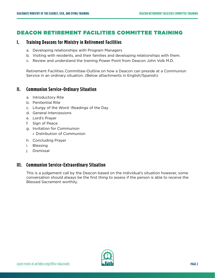## DEACON RETIREMENT FACILITIES COMMITTEE TRAINING

## **I. Training Deacons for Ministry in Retirement Facilities**

- a. Developing relationships with Program Managers
- b. Visiting with residents, and their families and developing relationships with them.
- c. Review and understand the training Power Point from Deacon John Volk M.D.

Retirement Facilities Committee-Outline on how a Deacon can preside at a Communion Service in an ordinary situation. (Below attachments in English/Spanish)

## **II. Communion Service-Ordinary Situation**

- a. Introductory Rite
- b. Penitential Rite
- c. Liturgy of the Word -Readings of the Day
- d. General Intercessions
- e. Lord's Prayer
- f. Sign of Peace
- g. Invitation for Communion
	- » Distribution of Communion
- h. Concluding Prayer
- i. Blessing
- j. Dismissal

## **III. Communion Service-Extraordinary Situation**

This is a judgement call by the Deacon based on the individual's situation however, some conversation should always be the first thing to assess if the person is able to receive the Blessed Sacrament worthily.

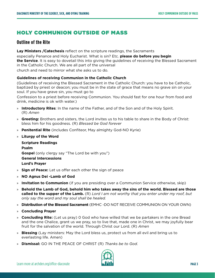## HOLY COMMUNION OUTSIDE OF MASS

## **Outline of the Rite**

**Lay Ministers /Catechesis** reflect on the scripture readings, the Sacraments

especially Penance and Holy Eucharist. What is sin? Etc. **please do before you begin the Service**. It is easy to dovetail this into giving the guidelines of receiving the Blessed Sacrament in the Catholic Church. We are all part of the universal

church and need to mirror what she asks us to do.

#### **Guidelines of receiving Communion in the Catholic Church**

(Guidelines of receiving the Blessed Sacrament in the Catholic Church: you have to be Catholic, baptized by priest or deacon; you must be in the state of grace that means no grave sin on your soul. If you have grave sin, you must go to

Confession to a priest before receiving Communion. You should fast for one hour from food and drink, medicine is ok with water.)

- » **Introductory Rites**: In the name of the Father, and of the Son and of the Holy Spirit. (R) *Amen*
- » **Greeting:** Brothers and sisters, the Lord invites us to his table to share in the Body of Christ: bless him for his goodness. (R) *Blessed be God forever*
- » **Penitential Rite** (includes Confiteor, May almighty God-NO Kyrie)
- » **Liturgy of the Word**

**Scripture Readings Psalm Gospel** (only clergy say "The Lord be with you") **General Intercessions Lord's Prayer**

- » **Sign of Peace:** Let us offer each other the sign of peace
- » **NO Agnus Dei -Lamb of God**
- » **Invitation to Communion** (if you are presiding over a Communion Service otherwise, skip)
- » **Behold the Lamb of God, behold him who takes away the sins of the world. Blessed are those called to the supper of the Lamb.** (R) *Lord I am not worthy that you enter under my roof, but only say the word and my soul shall be healed.*
- » **Distribution of the Blessed Sacrament** (EMHC -DO NOT RECEIVE COMMUNION ON YOUR OWN)
- » **Concluding Prayer**
- » **Concluding Rite:** (Let us pray) 0 God who have willed that we be partakers in the one Bread and the one Chalice, grant us we pray, so to live that, made one in Christ, we may joyfully bear fruit for the salvation of the world. Through Christ our Lord. (R) *Amen*
- » **Blessing** (Lay ministers: May the Lord bless us, protect us from all evil and bring us to everlasting life. Amen)
- » **Dismissal:** GO IN THE PEACE OF CHRIST (R) *Thanks be to God*.

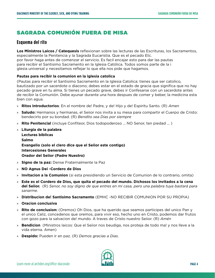## SAGRADA COMUNIÓN FUERA DE MISA

## **Esquema del rito**

**Los Ministros Laicos / Catequesis** reflexionan sobre las lecturas de las Escrituras, los Sacramentos, especialmente la Penitencia y la Sagrada Eucaristia. Que es el pecado Etc. por favor haga antes de comenzar el servicio. Es facil encajar esto para dar las pautas para recibir el Santisimo Sacramento en la Iglesia Católica. Todos somos parte de la i glesia universal y necesitamos reflejar lo que ella nos pide que hagamos.

#### **Pautas para recibir la comunion en la iglesia catolica**

(Pautas para recibir el Santisimo Sacramento en la Iglesia Catolica: tienes que ser catolico, bautizado por un sacerdote o diacono; debes estar en el estado de gracia que significa que no hay pecado grave en tu alma. Si tienes un pecado grave, debes ir Confesarse con un sacerdote antes de recibir la Comunión. Debe ayunar durante una hora despues de comer y beber, la medicina esta bien con agua.

- » **Ritos introductorios**: En el nombre de! Padre, y de! Hijo y de! Espiritu Santo. (R) *Amen*
- » **Saludo:** Hermanos y hermanas, el Seiior nos invita a su mesa para compartir el Cuerpo de Cristo: bendecirlo por su bondad. (R) *Bendito sea Dias por siempre*
- » **Rito Penitencial** (incluye Confiteor, Dios todopoderoso ... NO Senor, ten piedad ... )
- » **Liturgia de la palabra Lecturas biblicas Salmo Evangelio (solo el clero dice que el Seiior este contigo) Intercesiones Generales Orador del Seiior (Padre Nuestro)**
- » **Signo de Ia paz:** Dense Fraternalmente Ia Paz
- » **NO Agnus Dei -Cordero de Dios**
- » **Invitacion a la Comunion** (si esta presidiendo un Servicio de Comunion de lo contrario, omita)
- » **Este es el Cordero de Dios, que quita el pecado del mundo. Dichosos los invitados a la cena del Seiior.** (R) *Senor, no soy digno de que entres en mi casa, pero una palabra tuya bastará para sanarme.*
- » **Distribucion de! Santisimo Sacramento** (EMHC -NO RECIBIR COMUNION POR SU PROPIA)
- » **Oracion conclusiva**
- » **Rito de conclusion:** (Oremos) Oh Dios, que ha querido que seamos participes del unico Pan y el unico Caliz, concedenos que oremos, para vivir eso, hecho uno en Cristo, podemos dar frutos con gozo para Ia salvacion de! mundo. A traves de Cristo nuestro Seiior. (R) *Amén*
- » **Bendicion** (Ministros laicos: Que el Seiior nos beudiga, nos proteja de todo ma! y nos lleve a la vida eterna. Amen)
- » **Despido:** Pueden ir en paz. (R) *Demos gracias a Dias*.

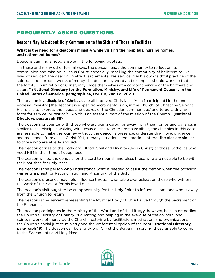## FREQUENTLY ASKED QUESTIONS

## **Deacons May Ask About Holy Communion to the Sick and Those in Facilities**

#### **What is the need for a deacon's ministry while visiting the hospitals, nursing homes, and retirement homes?**

Deacons can find a good answer in the following quotation:

"In these and many other formal ways, the deacon leads the community to reflect on its communion and mission in Jesus Christ, especially impelling the community of believers to live lives of service." The deacon, in effect, sacramentalizes service. "By his own faithful practice of the spiritual and corporal works of mercy, the deacon 'by word and example'…should work so that all the faithful, in imitation of Christ, may place themselves at a constant service of the brothers and sisters." **(National Directory for the Formation, Ministry, and Life of Permanent Deacons in the United States of America, paragraph 34, USCCB, 2nd Ed, 2021)**

The deacon is a **disciple of Christ** as are all baptized Christians. "As a [participant] in the one ecclesial ministry [the deacon] is a specific sacramental sign, in the Church, of Christ the Servant. His role is to 'express the needs and desires of the Christian communities' and to be 'a driving force for service, or *diakonia*,' which is an essential part of the mission of the Church." **(National Directory, paragraph 39)**

The deacon's encounter with those who are being cared for away from their homes and parishes is similar to the disciples walking with Jesus on the road to Emmaus; albeit, the disciples in this case are less able to make the journey without the deacon's presence, understanding, love, diligence, and assistance from Jesus Christ. Yet, in many situations, the emotions of the disciples are similar to those who are elderly and sick.

The deacon carries to the Body and Blood, Soul and Divinity (Jesus Christ) to those Catholics who need HIM in their time of deep need.

The deacon will be the conduit for the Lord to nourish and bless those who are not able to be with their parishes for Holy Mass.

The deacon is the person who understands what is needed to assist the person when the occasion warrants a priest for Reconciliation and Anointing of the Sick.

The deacon's presence may help influence through charitable evangelization those who witness the work of the Savior for his loved one.

The deacon's visit ought to be an opportunity for the Holy Spirit to influence someone who is away from the Church to return.

The deacon is the servant representing the Mystical Body of Christ alive through the Sacrament of the Eucharist.

The deacon participates in the Ministry of the Word and of the Liturgy; however, he also embodies the Church's Ministry of Charity: "Educating and helping in the exercise of the corporal and spiritual works of mercy by the Church; fostering by facilitation, motivation, and organizations the Church's social justice ministry and the preferential option of the poor." **(National Directory, paragraph 13)** The deacon can be a bridge of Christ the Servant in serving those unable to come to the Sacraments and Holy Mass.

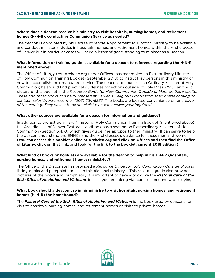#### **Where does a deacon receive his ministry to visit hospitals, nursing homes, and retirement homes (H-N-R), conducting Communion Service as needed?**

The deacon is appointed by his Decree of Stable Appointment to Diaconal Ministry to be available and conduct ministerial duties in hospitals, homes, and retirement homes within the Archdiocese of Denver but in particular cases will need a letter of good standing to minister as a Deacon.

#### **What information or training guide is available for a deacon to reference regarding the H-N-R mentioned above?**

The Office of Liturgy (ref: Archden.org under Offices) has assembled an Extraordinary Minister of Holy Communion Training Booklet (September 2018) to instruct lay persons in this ministry on how to accomplish their mandated service. The deacon, of course, is an Ordinary Minister of Holy Communion; he should find practical guidelines for actions outside of Holy Mass. (You can find a picture of this booklet in the *Resource Guide for Holy Communion Outside of Mass on this website. These and other books can be purchased at Gerken's Religious Goods from their online catalog or contact: sales@gerkens.com or (303) 534-8233.* The books are located conveniently on one *page of the catalog. They have a book specialist who can answer your inquiries.)*

#### **What other sources are available for a deacon for information and guidance?**

In addition to the Extraordinary Minister of Holy Communion Training Booklet (mentioned above), the Archdiocese of Denver Pastoral Handbook has a section on Extraordinary Ministers of Holy Communion (Section 5.4.10) which gives guidelines apropos to their ministry. It can serve to help the deacon understand the EMHCs and the Archdiocese's guidance for these men and women. **(You can access this booklet online at Archden.org and click on Offices and then find the Office of Liturgy, click on that link, and look for the link to the booklet, current 2018 edition.)**

#### **What kind of books or booklets are available for the deacon to help in his H-N-R (hospitals, nursing homes, and retirement homes) ministries?**

The Office of the Diaconate has provided a *Resource Guide for Holy Communion Outside of Mass* listing books and pamphlets to use in this diaconal ministry. (This resource guide also provides pictures of the books and pamphlets.) It is important to have a book like the *Pastoral Care of the Sick: Rites of Anointing and Viaticum*, in case you are taking viaticum to someone who is dying.

#### **What book should a deacon use in his ministry to visit hospitals, nursing homes, and retirement homes (H-N-R) the homebound?**

The *Pastoral Care of the Sick: Rites of Anointing and Viaticum* is the book used by deacons for visit to hospitals, nursing homes, and retirement homes or visits to private homes.

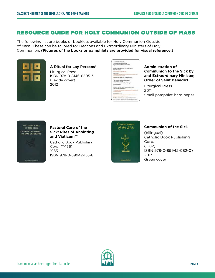## RESOURCE GUIDE FOR HOLY COMMUNION OUTSIDE OF MASS

The following list are books or booklets available for Holy Communion Outside of Mass. These can be tailored for Deacons and Extraordinary Ministers of Holy Communion. **(Pictures of the books or pamphlets are provided for visual reference.)**



**A Ritual for Lay Persons\*** Liturgical Press ISBN 978-0-8146-6505-3 (Lexide cover) 2012

| Administration of         |                                              |                                                          |
|---------------------------|----------------------------------------------|----------------------------------------------------------|
|                           | Communication to the Sick                    |                                                          |
|                           | bir an Estepandinary Minister                |                                                          |
|                           | making ally here, or constantables of        |                                                          |
| OF 198 AR'S.              |                                              |                                                          |
| EX CRASTER TWEY & 1764    |                                              |                                                          |
| <b>GREENLAND</b>          |                                              |                                                          |
| of the declinering deal-  |                                              |                                                          |
|                           |                                              |                                                          |
|                           | Fanco do Bins famino und all who however.    |                                                          |
| and a                     |                                              |                                                          |
|                           | The grows of our lived lence Christ,         |                                                          |
|                           | and the reservation of the Maly Spark        |                                                          |
| he with you all.          |                                              |                                                          |
|                           |                                              |                                                          |
| and the Lord Issue China. | Cruis to you and you's financial ear indier- |                                                          |
|                           |                                              |                                                          |
|                           |                                              |                                                          |
| <b>PERTIENTIAL ACT -</b>  |                                              |                                                          |
|                           |                                              |                                                          |
|                           |                                              |                                                          |
|                           |                                              | Blackberg and stolens, for an animate-tailing eral view. |
|                           |                                              | and an person was allow far this samed addression.       |

#### **Administration of Communion to the Sick by and Extraordinary Minister, Order of Saint Benedict**

Liturgical Press 2011 Small pamphlet-hard paper



**Pastoral Care of the Sick: Rites of Anointing and Viaticum\*\*** 

Catholic Book Publishing Corp. (T-156) 1983 ISBN 978-0-89942-156-8



#### **Communion of the Sick**

(bilingual) Catholic Book Publishing Corp. (T-82) ISBN 978-0-89942-082-0) 2013 Green cover

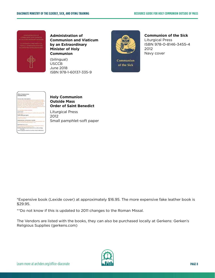

**Administration of Communion and Viaticum by an Extraordinary Minister of Holy Communion**

(bilingual) USCCB June 2018 ISBN 978-1-60137-335-9



Communion of the Sick

#### **Communion of the Sick**

Liturgical Press ISBN 978-0-8146-3455-4 2012 Navy cover

| <b>Enty Cos</b>                        |   |
|----------------------------------------|---|
| <b>Juliable Mass</b>                   |   |
| Y. 1999                                |   |
| <b>ALLEY CALL</b>                      |   |
| <b>FRETH CARS</b>                      |   |
|                                        |   |
|                                        |   |
|                                        |   |
| an academ for                          |   |
| 44944<br>٠                             |   |
|                                        |   |
|                                        | ᅮ |
|                                        |   |
|                                        |   |
| <b><i>SWEETHING</i></b>                |   |
| GREENWE                                | . |
| <b>The developing</b>                  |   |
| programmer and                         |   |
| <b>And with your sy</b>                |   |
|                                        |   |
|                                        |   |
|                                        |   |
| <b>SPRINGERMAN MYTHE SENSY MATER -</b> |   |
| Will move observed Warning of a        |   |
|                                        |   |
|                                        |   |
| <b>NOT WIRTS 0.8</b>                   |   |
|                                        |   |
|                                        |   |
| <b>Geetberry</b><br><b>TRANSIS</b>     |   |
| 400                                    |   |
| ar alfasis (es                         |   |
|                                        |   |
|                                        |   |

#### **Holy Communion Outside Mass Order of Saint Benedict**

Liturgical Press 2012 Small pamphlet-soft paper

\*Expensive book (Lexide cover) at approximately \$16.95. The more expensive fake leather book is \$29.95.

\*\*Do not know if this is updated to 2011 changes to the Roman Missal.

The Vendors are listed with the books, they can also be purchased locally at Gerkens: Gerken's Religious Supplies (gerkens.com)

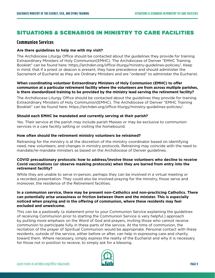## SITUATIONS & SCENARIOS IN MINISTRY TO CARE FACILITIES

### **Communion Services**

#### **Are there guidelines to help me with my visit?**

The Archdiocese Liturgy Office should be contacted about the guidelines they provide for training Extraordinary Ministers of Holy Communion(EMHC). The Archdiocese of Denver "EMHC Training Booklet" can be found here: https://archden.org/office-liturgy/ministry-guidelines-policies/. Keep in mind, that if a priest or deacon is present, they have precedence and should administer the Sacrament of Eucharist as they are Ordinary Ministers and are "ordered" to administer the Eucharist.

#### **When coordinating volunteer Extraordinary Ministers of Holy Communion (EMHC) to offer communion at a particular retirement facility where the volunteers are from across multiple parishes, is there standardized training to be provided by the ministry lead serving the retirement facility?**

The Archdiocese Liturgy Office should be contacted about the guidelines they provide for training Extraordinary Ministers of Holy Communion(EMHC). The Archdiocese of Denver "EMHC Training Booklet" can be found here: https://archden.org/office-liturgy/ministry-guidelines-policies/.

#### **Should each EMHC be mandated and currently serving at their parish?**

Yes. Their service at the parish may include parish Masses or may be exclusive to communion services in a care facility setting or visiting the homebound.

#### **How often should the retirement ministry volunteers be retrained?**

Retraining for the ministry is at the discretion of the ministry coordinator based on identifying need, new volunteers, and changes in ministry protocols. Retraining may coincide with the need to mandate/re-mandate ministers as based on the Archdiocese of Denver guidelines.

#### **COVID precautionary protocols: how to address/involve those volunteers who decline to receive Covid vaccinations (or observe masking protocols) when they are barred from entry into the retirement facility?**

While they are unable to serve in-person, perhaps they can be involved in a virtual meeting or a recorded presentation. They could also be involved praying for the ministry, those serve and moreover, the residence of the Retirement facilities.

#### **In a communion service, there may be present non-Catholics and non-practicing Catholics. There can potentially arise uneasiness or friction between them and the minister. This is especially noticed when praying and in the offering of communion, where these residents may feel excluded and unwelcome.**

This can be a pastorally (a statement prior to your Communion Service explaining the guidelines of receiving Communion prior to starting the Communion Service is very helpful.) approach by putting more emphasis on the Word of God and prayers, inviting those who cannot receive communion to participate fully in these parts of the service. At the time of communion, the recitation of the prayer of Spiritual Communion would be appropriate. Personal contact with these residents, outside of the service, either before or after, can help in expressing care and charity toward them. Where necessary, simply express the reality of the Eucharist and why it is necessary for those not in position to receive, to simply ask for a blessing.

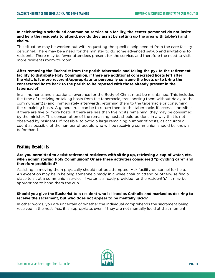#### **In celebrating a scheduled communion service at a facility, the center personnel do not invite and help the residents to attend, nor do they assist by setting up the area with table(s) and chairs.**

This situation may be worked out with requesting the specific help needed from the care facility personnel. There may be a need for the minister to do some advanced set-up and invitations to residents. There may be fewer attendees present for the service, and therefore the need to visit more residents room-to-room.

#### **After removing the Eucharist from the parish tabernacle and taking the pyx to the retirement facility to distribute Holy Communion, if there are additional consecrated hosts left after the visit. Is it more reverent/appropriate to personally consume the hosts or to bring the consecrated hosts back to the parish to be reposed with those already present in the tabernacle?**

In all moments and situations, reverence for the Body of Christ must be maintained. This includes the time of receiving or taking hosts from the tabernacle, transporting them without delay to the communicant(s) and, immediately afterwards, returning them to the tabernacle or consuming the remaining hosts. A general rule can be to return them to the tabernacle, if access is possible, if there are five or more hosts. If there are less than five hosts remaining, they may be consumed by the minister. This consumption of the remaining hosts should be done in a way that is not observed by residents. If possible, to avoid a large remaining number of hosts, as accurate a count as possible of the number of people who will be receiving communion should be known beforehand.

## **Visiting Residents**

#### **Are you permitted to assist retirement residents with sitting up, retrieving a cup of water, etc. when administering Holy Communion? Or are these activities considered "providing care" and therefore prohibited?**

Assisting in moving them physically should not be attempted. Ask facility personnel for help. An exception may be in helping someone already in a wheelchair to attend or otherwise find a place to sit at a communion service. If water is already provided for the resident(s), it may be appropriate to hand them the cup.

#### **Should you give the Eucharist to a resident who is listed as Catholic and marked as desiring to receive the sacrament, but who does not appear to be mentally lucid?**

In other words, you are uncertain of whether the individual comprehends the sacrament being received in the host. Yes, it is appropriate, even if they are not mentally lucid at that moment.

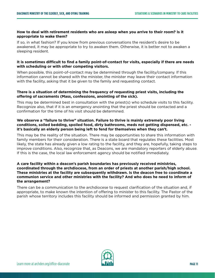#### **How to deal with retirement residents who are asleep when you arrive to their room? Is it appropriate to wake them?**

If so, in what fashion? If you know from previous conversations the resident's desire to be awakened, it may be appropriate to try to awaken them. Otherwise, it is better not to awaken a sleeping resident.

#### **It is sometimes difficult to find a family point-of-contact for visits, especially if there are needs with scheduling or with other competing visitors.**

When possible, this point-of-contact may be determined through the facility/company. If this information cannot be shared with the minister, the minister may leave their contact information with the facility, asking that it be given to the family and requesting contact.

#### **There is a situation of determining the frequency of requesting priest visits, including the offering of sacraments (Mass, confessions, anointing of the sick).**

This may be determined best in consultation with the priest(s) who schedule visits to this facility. Recognize also, that if it is an emergency anointing that the priest should be contacted and a confirmation for the time of his visit should be determined.

#### **We observe a "failure to thrive" situation. Failure to thrive is mainly extremely poor living conditions, soiled bedding, spoiled food, dirty bathrooms, meds not getting dispensed, etc. it's basically an elderly person being left to fend for themselves when they can't.**

This may be the reality of the situation. There may be opportunities to share this information with family members for their consideration. There is a state board that regulates these facilities. Most likely, the state has already given a low rating to the facility, and they are, hopefully, taking steps to improve conditions. Also, recognize that, as Deacons, we are mandatory reporters of elderly abuse. If this is the case, the local law enforcement agency should be notified immediately.

#### **A care facility within a deacon's parish boundaries has previously received ministries, coordinated through the archdiocese, from an order of priests at another parish/high school. These ministries at the facility are subsequently withdrawn. Is the deacon free to coordinate a communion service and other ministries with the facility? And who does he need to inform of the arrangement?**

There can be a communication to the archdiocese to request clarification of the situation and, if appropriate, to make known the intention of offering to minister to this facility. The Pastor of the parish whose territory includes this facility should be informed and permission granted by him.

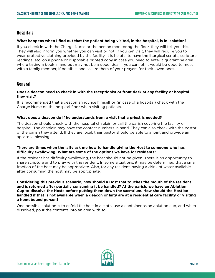## **Hospitals**

#### **What happens when I find out that the patient being visited, in the hospital, is in isolation?**

If you check in with the Charge Nurse or the person monitoring the floor, they will tell you this. They will also inform you whether you can visit or not. If you can visit, they will require you to wear protective clothing provided by the facility. It is helpful to have the liturgical scripts, scripture readings, etc. on a phone or disposable printed copy in case you need to enter a quarantine area where taking a book in and out may not be a good idea. If you cannot, it would be good to meet with a family member, if possible, and assure them of your prayers for their loved ones.

## **General**

#### **Does a deacon need to check in with the receptionist or front desk at any facility or hospital they visit?**

It is recommended that a deacon announce himself or (in case of a hospital) check with the Charge Nurse on the hospital floor when visiting patients.

#### **What does a deacon do if he understands from a visit that a priest is needed?**

The deacon should check with the hospital chaplain or call the parish covering the facility or hospital. The chaplain may have the contact numbers in hand. They can also check with the pastor of the parish they attend. If they are local, their pastor should be able to anoint and provide an apostolic blessing.

#### **There are times when the laity ask me how to handle giving the Host to someone who has difficulty swallowing. What are some of the options we have for residents?**

If the resident has difficulty swallowing, the host should not be given. There is an opportunity to share scripture and to pray with the resident. In some situations, it may be determined that a small fraction of the host may be appropriate. Also, for any resident, having a drink of water available after consuming the host may be appropriate.

**Considering this previous scenario, how should a Host that touches the mouth of the resident and is returned after partially consuming it be handled? At the parish, we have an Ablution Cup to dissolve the Hosts before putting them down the sacrarium. How should the Host be handled if that is not available when a deacon or laity are at a residential care facility or visiting a homebound person?** 

One possible solution is to enfold the host in a cloth, use a container as an ablution cup, and when dissolved, pour the contents into an area with soil.

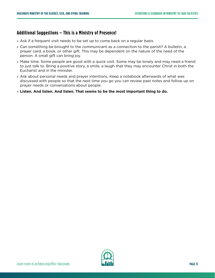## **Additional Suggestions – This is a Ministry of Presence!**

- » Ask if a frequent visit needs to be set up to come back on a regular basis.
- » Can something be brought to the communicant as a connection to the parish? A bulletin, a prayer card, a book, or other gift. This may be dependent on the nature of the need of the person. A small gift can bring joy.
- » Make time. Some people are good with a quick visit. Some may be lonely and may need a friend to just talk to. Bring a positive story, a smile, a laugh that they may encounter Christ in both the Eucharist and in the minister.
- » Ask about personal needs and prayer intentions. Keep a notebook afterwards of what was discussed with people so that the next time you go you can review past notes and follow up on prayer needs or conversations about people.
- » **Listen. And listen. And listen. That seems to be the most important thing to do.**

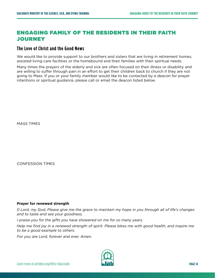## ENGAGING FAMILY OF THE RESIDENTS IN THEIR FAITH **JOURNEY**

## **The Love of Christ and the Good News**

We would like to provide support to our brothers and sisters that are living in retirement homes, assisted living care facilities or the homebound and their families with their spiritual needs.

Many times the prayers of the elderly and sick are often focused on their illness or disability and are willing to suffer through pain in an effort to get their children back to church if they are not going to Mass. If you or your family member would like to be contacted by a deacon for prayer intentions or spiritual guidance, please call or email the deacon listed below.

MASS TIMES

CONFESSION TIMES

#### **Prayer for renewed strength**

*0 Lord, my God, Please give me the grace to maintain my hope in you through all of life's changes and to taste and see your goodness.* 

*I praise you for the gifts you have showered on me for so many years.* 

*Help me find joy in a renewed strength of spirit. Please bless me with good health, and inspire me to be a good example to others.* 

*For you are Lord, forever and ever. Amen.* 

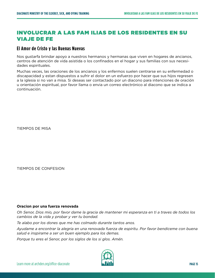## INVOLUCRAR A LAS FAM ILIAS DE LOS RESIDENTES EN SU VIAJE DE FE

### **El Amor de Cristo y las Buenas Nuevas**

Nos gustarfa brindar apoyo a nuestros hermanos y hermanas que viven en hogares de ancianos, centros de atención de vida asistida o los confinados en el hogar y sus familias con sus necesidades espirituales.

Muchas veces, las oraciones de los ancianos y los enfermos suelen centrarse en su enfermedad o discapacidad y estan dispuestos a sufrir el dolor en un esfuerzo por hacer que sus hijos regresen a la iglesia si no van a misa. Si deseas ser contactado por un diacono para intenciones de oración u orientación espiritual, por favor llama o envia un correo electrónico al diacono que se indica a continuación.

TIEMPOS DE MISA

TIEMPOS DE CONFESION

#### **Oracion por una fuerza renovada**

*Oh Senor, Dios mio, por favor dame la gracia de mantener mi esperanza en ti a traves de todos los cambios de la vida y probar y ver tu bondad.*

*Te alabo por los dones que me has colmado durante tantos anos.*

*Ayudame a encontrar la alegria en una renovada fuerza de espiritu. Por favor bendiceme con buena salud e inspirame a ser un buen ejemplo para los demas.* 

*Porque tu eres el Senor, por los siglos de los si glos. Amén.* 

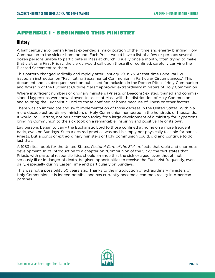## APPENDIX I - BEGINNING THIS MINISTRY

## **History**

A half century ago, parish Priests expended a major portion of their time and energy bringing Holy Communion to the sick or homebound. Each Priest would have a list of a few or perhaps several dozen persons unable to participate in Mass at church. Usually once a month, often trying to make that visit on a First Friday, the clergy would call upon those ill or confined, carefully carrying the Blessed Sacrament to them.

This pattern changed radically and rapidly after January 29, 1973. At that time Pope Paul VI issued an instruction on "Facilitating Sacramental Communion in Particular Circumstances." This document and a subsequent section published for inclusion in the Roman Ritual, "Holy Communion and Worship of the Eucharist Outside Mass," approved extraordinary ministers of Holy Communion.

Where insufficient numbers of ordinary ministers (Priests or Deacons) existed, trained and commissioned laypersons were now allowed to assist at Mass with the distribution of Holy Communion and to bring the Eucharistic Lord to those confined at home because of illness or other factors.

There was an immediate and swift implementation of those decrees in the United States. Within a mere decade extraordinary ministers of Holy Communion numbered in the hundreds of thousands. It would, to illustrate, not be uncommon today for a large development of a ministry for laypersons bringing Communion to the sick took on a remarkable, inspiring and positive life of its own.

Lay persons began to carry the Eucharistic Lord to those confined at home on a more frequent basis, even on Sundays. Such a desired practice was and is simply not physically feasible for parish Priests. But a corps of extraordinary ministers of Holy Communion could, did and continue to do just that.

A 1983 ritual book for the United States, *Pastoral Care of the Sick*, reflects that rapid and enormous development. In its introduction to a chapter on "Communion of the Sick," the text states that Priests with pastoral responsibilities should arrange that the sick or aged, even though not seriously ill or in danger of death, be given opportunities to receive the Eucharist frequently, even daily, especially during Easter Time and particularly on Sundays.

This was not a possibility 50 years ago. Thanks to the introduction of extraordinary ministers of Holy Communion, it is indeed possible and has currently become a common reality in American parishes.

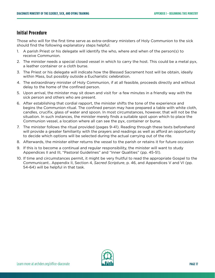## **Initial Procedure**

Those who will for the first time serve as extra-ordinary ministers of Holy Communion to the sick should find the following explanatory steps helpful:

- 1. A parish Priest or his delegate will identify the who, where and when of the person(s) to receive Communion.
- 2. The minister needs a special closed vessel in which to carry the host. This could be a metal pyx, a leather container or a cloth burse.
- 3. The Priest or his delegate will indicate how the Blessed Sacrament host will be obtain, ideally within Mass, but possibly outside a Eucharistic celebration.
- 4. The extraordinary minister of Holy Communion, if at all feasible, proceeds directly and without delay to the home of the confined person.
- 5. Upon arrival, the minister may sit down and visit for ·a few minutes in a friendly way with the sick person and others who are present.
- 6. After establishing that cordial rapport, the minister shifts the tone of the experience and begins the Communion ritual. The confined person may have prepared a table with white cloth, candles, crucifix, glass of water and spoon. In most circumstances, however, that will not be the situation. In such instances, the minister merely finds a suitable spot upon which to place the Communion vessel, a location where all can see the pyx, container or burse.
- 7. The minister follows the ritual provided (pages 9-41). Reading through these texts beforehand will provide a greater familiarity with the prayers and readings as well as afford an opportunity to decide which options will be selected during the actual carrying out of the rite.
- 8. Afterwards, the minister either returns the vessel to the parish or retains it for future occasion
- 9. If this is to become a continual and regular responsibility, the minister will want to study Appendices II and III, "Pastoral Guidelines" and "Inner Qualities" (pp. 45-51).
- 10. If time and circumstances permit, it might be very fruitful to read the appropriate Gospel to the Communicant.. Appendix II, Section 4, *Sacred Scripture*, p. 46, and Appendices V and VI (pp. 54-64) will be helpful in that task.

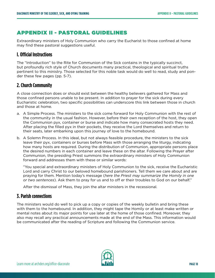## APPENDIX II - PASTORAL GUIDELINES

Extraordinary ministers of Holy Communion who carry the Eucharist to those confined at home may find these pastoral suggestions useful.

## **I. Official Instructions**

The "Introduction" to the Rite for Communion of the Sick contains in the typically succinct, but profoundly rich style of Church documents many practical, theological and spiritual truths pertinent to this ministry. Those selected for this noble task would do well to read, study and ponder these few pages (pp. 5-7).

## **2. Church Community**

A close connection does or should exist between the healthy believers gathered for Mass and those confined persons unable to be present. In addition to prayer for the sick during every Eucharistic celebration, two specific possibilities can underscore this link between those in church and those at home.

- a. A Simple Process. The ministers to the sick come forward for Holy Communion with the rest of the community in the usual fashion. However, before their own reception of the host, they open the Communion pyx, container or burse and indicate how many consecrated hosts they need. After placing the filled pyx in their pockets, they receive the Lord themselves and return to their seats, later embarking upon this journey of love to the homebound.
- b. A Solemn Process. In this ideal, but not always feasible procedure, the ministers to the sick leave their pyx, containers or burses before Mass with those arranging the liturgy, indicating how many hosts are required. During the distribution of Communion, appropriate persons place the desired numbers in each container and leave these on the altar. Following the Prayer after Communion, the presiding Priest summons the extraordinary ministers of Holy Communion forward and addresses them with these or similar words:

"You special and extraordinary ministers of Holy Communion to the sick, receive the Eucharistic Lord and carry Christ to our beloved homebound parishioners. Tell them we care about and are praying for them. Mention today's message (*here the Priest may summarize the Homily in one or two sentences*). Ask them to pray for us and to off er their troubles to God on our behalf."

After the dismissal of Mass, they join the altar ministers in the recessional.

## **3. Parish connections**

The ministers would do well to pick up a copy or copies of the weekly bulletin and bring these with them to the homebound. In addition, they might tape the Homily or at least make written or mental notes about its major points for use later at the home of those confined. Moreover, they also may recall any practical announcements made at the end of the Mass. This information would be communicated after the reading of Scripture and following the Communion service.

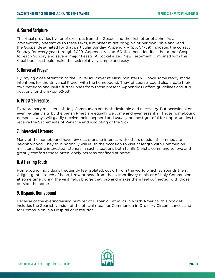## **4. Sacred Scripture**

The ritual provides five brief excerpts from the Gospel and the first letter of John. As a praiseworthy alternative to these texts, a minister might bring his or her own Bible and read the Gospel designated for that particular Sunday. Appendix V (pp. 54-59) indicates the correct Sunday for every year through 2029. Appendix VI (pp. 60-64) then identifies the proper Gospel for each Sunday and several major Feasts. A pocket-sized New Testament combined with this ritual booklet should make the task relatively simple and easy.

## **5. Universal Prayer**

By paying close attention to the Universal Prayer at Mass, ministers will have some ready-made intentions for the Universal Prayer with the homebound. They, of course, could also create their own petitions and invite further ones from those present. Appendix N offers guidelines and suggestions for them (pp. 52-53).

## **6. Priest's Presence**

Extraordinary ministers of Holy Communion are both desirable and necessary. But occasional or even regular visits by the parish Priest are equally welcome and even essential. Those homebound persons always will gladly receive their shepherd and usually be most grateful for opportunities to receive the Sacraments of Penance and Anointing of the Sick.

## **7. Interested Listeners**

Many of the homebound have few occasions to interact with others outside the immediate neighborhood. They thus normally will relish the occasion to visit at length with Communion ministers. Being interested listeners in such situations both fulfills Christ's command to love and greatly comforts those often lonely persons confined at home.

## **8. A Healing Touch**

Homebound individuals frequently feel isolated, cut off from the world which surrounds them. A light, gentle touch of hand, brow or head from the extraordinary minister of Holy Communion at some time during the visit helps bridge that gap and makes them feel connected with those outside the home.

## **9. Hispanic Homebound**

Because of the everincreasing number of Hispanic Catholics in North America, this booklet includes the Spanish version of the official ritual for Communion in Ordinary Circumstances and for Communion in a Hospital or Institution.